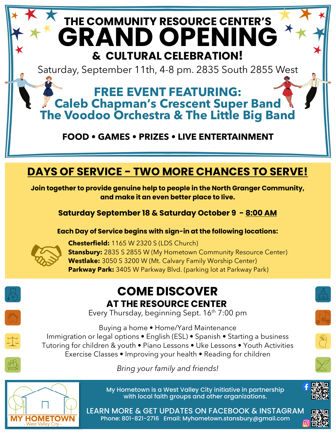## **THE COMMUNITY RESOURCE CENTER'S GRAND OPENING & CULTURAL CELEBRATION!**  Saturday, September 11th, 4-8 pm. 2835 South 2855 West **FREE EVENT FEATURING: Caleb Chapman's Crescent Super Band The Voodoo Orchestra & The Little Big Band FOOD • GAMES • PRIZES • LIVE ENTERTAINMENT**

## **DAYS OF SERVICE - TWO MORE CHANCES TO SERVE!**

**Join together to provide genuine help to people in the North Granger Community, and make it an even better place to live.** 

**Saturday September 18 & Saturday October 9 - 8:00 AM** 

**Each Day of Service begins with sign-in at the following locations:** 



**Chesterfield:** 1165 W 2320 S (LDS Church) **Stansbury:** 2835 S 2855 W (My Hometown Community Resource Center) **Westlake:** 3050 S 3200 W (Mt. Calvary Family Worship Center) **Parkway Park:** 3405 W Parkway Blvd. (parking lot at Parkway Park)



Every Thursday, beginning Sept. 16<sup>th</sup> 7:00 pm



Buying a home **•** Home/Yard Maintenance Immigration or legal options **•** English (ESL) **•** Spanish **•** Starting a business Tutoring for children & youth **•** Piano Lessons **•** Uke Lessons **•** Youth Activities Exercise Classes **•** Improving your health **•** Reading for children

*Bring your family and friends!*



My Hometown is a West Valley City initiative in partnership with local faith groups and other organizations.

Phone: 801-821-2716 Email: Myhometown.stansbury@gmail.com